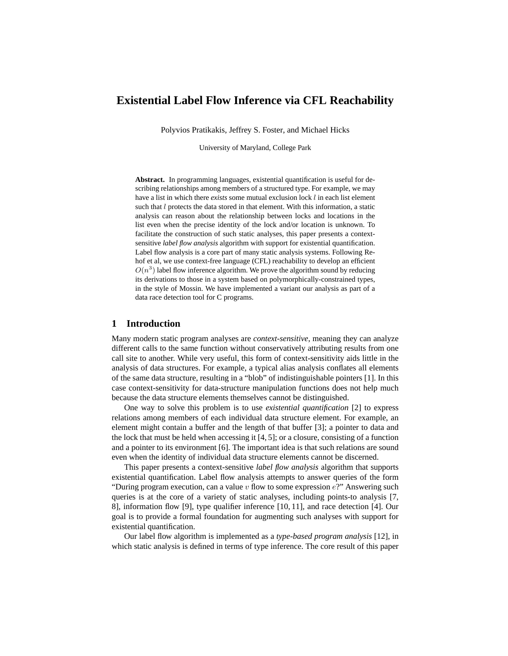# **Existential Label Flow Inference via CFL Reachability**

Polyvios Pratikakis, Jeffrey S. Foster, and Michael Hicks

University of Maryland, College Park

**Abstract.** In programming languages, existential quantification is useful for describing relationships among members of a structured type. For example, we may have a list in which there *exists* some mutual exclusion lock l in each list element such that *l* protects the data stored in that element. With this information, a static analysis can reason about the relationship between locks and locations in the list even when the precise identity of the lock and/or location is unknown. To facilitate the construction of such static analyses, this paper presents a contextsensitive *label flow analysis* algorithm with support for existential quantification. Label flow analysis is a core part of many static analysis systems. Following Rehof et al, we use context-free language (CFL) reachability to develop an efficient  $O(n^3)$  label flow inference algorithm. We prove the algorithm sound by reducing its derivations to those in a system based on polymorphically-constrained types, in the style of Mossin. We have implemented a variant our analysis as part of a data race detection tool for C programs.

## **1 Introduction**

Many modern static program analyses are *context-sensitive*, meaning they can analyze different calls to the same function without conservatively attributing results from one call site to another. While very useful, this form of context-sensitivity aids little in the analysis of data structures. For example, a typical alias analysis conflates all elements of the same data structure, resulting in a "blob" of indistinguishable pointers [1]. In this case context-sensitivity for data-structure manipulation functions does not help much because the data structure elements themselves cannot be distinguished.

One way to solve this problem is to use *existential quantification* [2] to express relations among members of each individual data structure element. For example, an element might contain a buffer and the length of that buffer [3]; a pointer to data and the lock that must be held when accessing it [4, 5]; or a closure, consisting of a function and a pointer to its environment [6]. The important idea is that such relations are sound even when the identity of individual data structure elements cannot be discerned.

This paper presents a context-sensitive *label flow analysis* algorithm that supports existential quantification. Label flow analysis attempts to answer queries of the form "During program execution, can a value  $v$  flow to some expression  $e$ ?" Answering such queries is at the core of a variety of static analyses, including points-to analysis [7, 8], information flow [9], type qualifier inference [10, 11], and race detection [4]. Our goal is to provide a formal foundation for augmenting such analyses with support for existential quantification.

Our label flow algorithm is implemented as a *type-based program analysis* [12], in which static analysis is defined in terms of type inference. The core result of this paper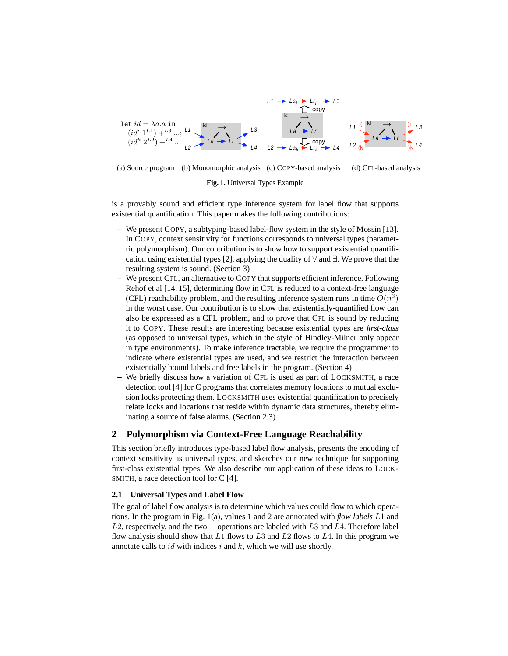

(a) Source program (b) Monomorphic analysis (c) COPY-based analysis (d) CFL-based analysis

**Fig. 1.** Universal Types Example

is a provably sound and efficient type inference system for label flow that supports existential quantification. This paper makes the following contributions:

- **–** We present COPY, a subtyping-based label-flow system in the style of Mossin [13]. In COPY, context sensitivity for functions corresponds to universal types (parametric polymorphism). Our contribution is to show how to support existential quantification using existential types [2], applying the duality of ∀ and ∃. We prove that the resulting system is sound. (Section 3)
- **–** We present CFL, an alternative to COPY that supports efficient inference. Following Rehof et al [14, 15], determining flow in CFL is reduced to a context-free language (CFL) reachability problem, and the resulting inference system runs in time  $O(n^3)$ in the worst case. Our contribution is to show that existentially-quantified flow can also be expressed as a CFL problem, and to prove that CFL is sound by reducing it to COPY. These results are interesting because existential types are *first-class* (as opposed to universal types, which in the style of Hindley-Milner only appear in type environments). To make inference tractable, we require the programmer to indicate where existential types are used, and we restrict the interaction between existentially bound labels and free labels in the program. (Section 4)
- **–** We briefly discuss how a variation of CFL is used as part of LOCKSMITH, a race detection tool [4] for C programs that correlates memory locations to mutual exclusion locks protecting them. LOCKSMITH uses existential quantification to precisely relate locks and locations that reside within dynamic data structures, thereby eliminating a source of false alarms. (Section 2.3)

## **2 Polymorphism via Context-Free Language Reachability**

This section briefly introduces type-based label flow analysis, presents the encoding of context sensitivity as universal types, and sketches our new technique for supporting first-class existential types. We also describe our application of these ideas to LOCK-SMITH, a race detection tool for C [4].

### **2.1 Universal Types and Label Flow**

The goal of label flow analysis is to determine which values could flow to which operations. In the program in Fig. 1(a), values 1 and 2 are annotated with *flow labels* L1 and L2, respectively, and the two  $+$  operations are labeled with L3 and L4. Therefore label flow analysis should show that  $L1$  flows to  $L3$  and  $L2$  flows to  $L4$ . In this program we annotate calls to  $id$  with indices  $i$  and  $k$ , which we will use shortly.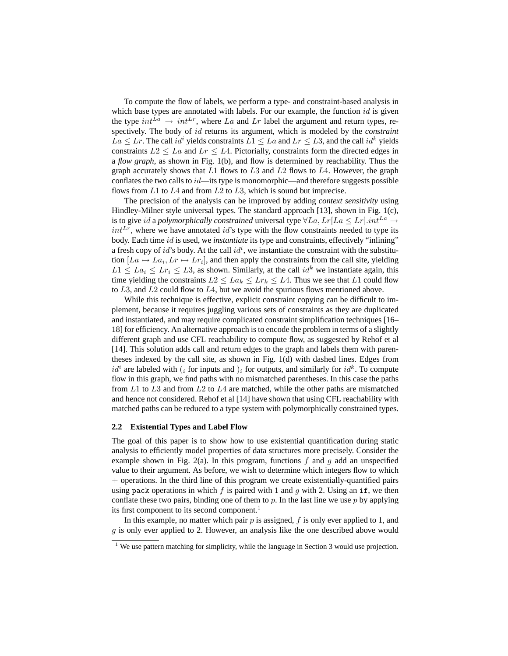To compute the flow of labels, we perform a type- and constraint-based analysis in which base types are annotated with labels. For our example, the function  $id$  is given the type  $int^{La} \rightarrow int^{Lr}$ , where La and Lr label the argument and return types, respectively. The body of id returns its argument, which is modeled by the *constraint*  $La \leq Lr$ . The call  $id^i$  yields constraints  $L1 \leq La$  and  $Lr \leq L3$ , and the call  $id^k$  yields constraints  $L2 \leq La$  and  $Lr \leq L4$ . Pictorially, constraints form the directed edges in a *flow graph*, as shown in Fig. 1(b), and flow is determined by reachability. Thus the graph accurately shows that  $L1$  flows to  $L3$  and  $L2$  flows to  $L4$ . However, the graph conflates the two calls to  $id$ —its type is monomorphic—and therefore suggests possible flows from  $L1$  to  $L4$  and from  $L2$  to  $L3$ , which is sound but imprecise.

The precision of the analysis can be improved by adding *context sensitivity* using Hindley-Milner style universal types. The standard approach [13], shown in Fig. 1(c), is to give id a *polymorphically constrained* universal type  $\forall La, Lr[La \le Lr].init^{La} \rightarrow$  $int<sup>Tr</sup>$ , where we have annotated id's type with the flow constraints needed to type its body. Each time id is used, we *instantiate* its type and constraints, effectively "inlining" a fresh copy of id's body. At the call  $id<sup>i</sup>$ , we instantiate the constraint with the substitution  $[La \mapsto La_i, Lr \mapsto Lr_i]$ , and then apply the constraints from the call site, yielding  $L_1 \leq L a_i \leq L r_i \leq L 3$ , as shown. Similarly, at the call  $id^k$  we instantiate again, this time yielding the constraints  $L2 \leq La_k \leq Lr_k \leq L4$ . Thus we see that L1 could flow to  $L3$ , and  $L2$  could flow to  $L4$ , but we avoid the spurious flows mentioned above.

While this technique is effective, explicit constraint copying can be difficult to implement, because it requires juggling various sets of constraints as they are duplicated and instantiated, and may require complicated constraint simplification techniques [16– 18] for efficiency. An alternative approach is to encode the problem in terms of a slightly different graph and use CFL reachability to compute flow, as suggested by Rehof et al [14]. This solution adds call and return edges to the graph and labels them with parentheses indexed by the call site, as shown in Fig. 1(d) with dashed lines. Edges from  $id^i$  are labeled with  $\binom{i}{i}$  for inputs and  $\binom{i}{i}$  for outputs, and similarly for  $id^k$ . To compute flow in this graph, we find paths with no mismatched parentheses. In this case the paths from  $L_1$  to  $L_3$  and from  $L_2$  to  $L_4$  are matched, while the other paths are mismatched and hence not considered. Rehof et al [14] have shown that using CFL reachability with matched paths can be reduced to a type system with polymorphically constrained types.

#### **2.2 Existential Types and Label Flow**

The goal of this paper is to show how to use existential quantification during static analysis to efficiently model properties of data structures more precisely. Consider the example shown in Fig. 2(a). In this program, functions  $f$  and  $g$  add an unspecified value to their argument. As before, we wish to determine which integers flow to which  $+$  operations. In the third line of this program we create existentially-quantified pairs using pack operations in which  $f$  is paired with 1 and  $g$  with 2. Using an if, we then conflate these two pairs, binding one of them to p. In the last line we use p by applying its first component to its second component.<sup>1</sup>

In this example, no matter which pair  $p$  is assigned,  $f$  is only ever applied to 1, and g is only ever applied to 2. However, an analysis like the one described above would

 $1$  We use pattern matching for simplicity, while the language in Section 3 would use projection.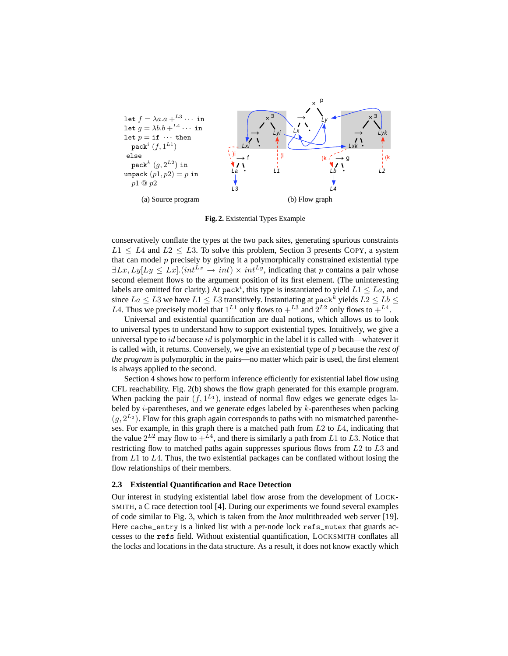

**Fig. 2.** Existential Types Example

conservatively conflate the types at the two pack sites, generating spurious constraints  $L1 \leq L4$  and  $L2 \leq L3$ . To solve this problem, Section 3 presents COPY, a system that can model  $p$  precisely by giving it a polymorphically constrained existential type  $\exists Lx, Ly[Ly \leq Lx].(int^{Lx} \rightarrow int) \times int^{Ly}$ , indicating that p contains a pair whose second element flows to the argument position of its first element. (The uninteresting labels are omitted for clarity.) At pack<sup>i</sup>, this type is instantiated to yield  $L1 \leq La$ , and since  $La \leq L3$  we have  $L1 \leq L3$  transitively. Instantiating at pack<sup>k</sup> yields  $L2 \leq Lb \leq$ L4. Thus we precisely model that  $1^{L1}$  only flows to  $+^{L3}$  and  $2^{L2}$  only flows to  $+^{L4}$ .

Universal and existential quantification are dual notions, which allows us to look to universal types to understand how to support existential types. Intuitively, we give a universal type to id because id is polymorphic in the label it is called with—whatever it is called with, it returns. Conversely, we give an existential type of p because the *rest of the program* is polymorphic in the pairs—no matter which pair is used, the first element is always applied to the second.

Section 4 shows how to perform inference efficiently for existential label flow using CFL reachability. Fig. 2(b) shows the flow graph generated for this example program. When packing the pair  $(f, 1^{L_1})$ , instead of normal flow edges we generate edges labeled by  $i$ -parentheses, and we generate edges labeled by  $k$ -parentheses when packing  $(g, 2^{L_2})$ . Flow for this graph again corresponds to paths with no mismatched parentheses. For example, in this graph there is a matched path from  $L2$  to  $L4$ , indicating that the value  $2^{L2}$  may flow to  $+^{L4}$ , and there is similarly a path from L1 to L3. Notice that restricting flow to matched paths again suppresses spurious flows from  $L2$  to  $L3$  and from  $L1$  to  $L4$ . Thus, the two existential packages can be conflated without losing the flow relationships of their members.

#### **2.3 Existential Quantification and Race Detection**

Our interest in studying existential label flow arose from the development of LOCK-SMITH, a C race detection tool [4]. During our experiments we found several examples of code similar to Fig. 3, which is taken from the *knot* multithreaded web server [19]. Here cache\_entry is a linked list with a per-node lock refs\_mutex that guards accesses to the refs field. Without existential quantification, LOCKSMITH conflates all the locks and locations in the data structure. As a result, it does not know exactly which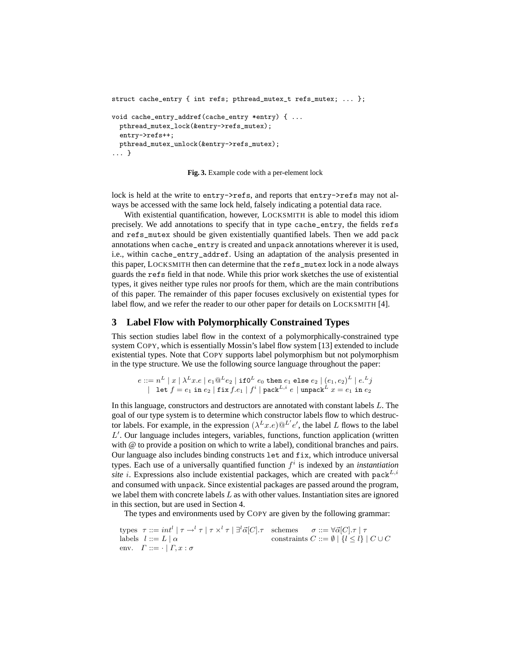```
struct cache_entry { int refs; pthread_mutex_t refs_mutex; ... };
void cache_entry_addref(cache_entry *entry) { ...
 pthread_mutex_lock(&entry->refs_mutex);
 entry->refs++;
 pthread_mutex_unlock(&entry->refs_mutex);
... }
```
**Fig. 3.** Example code with a per-element lock

lock is held at the write to entry->refs, and reports that entry->refs may not always be accessed with the same lock held, falsely indicating a potential data race.

With existential quantification, however, LOCKSMITH is able to model this idiom precisely. We add annotations to specify that in type cache\_entry, the fields refs and refs\_mutex should be given existentially quantified labels. Then we add pack annotations when cache\_entry is created and unpack annotations wherever it is used, i.e., within cache\_entry\_addref. Using an adaptation of the analysis presented in this paper, LOCKSMITH then can determine that the refs\_mutex lock in a node always guards the refs field in that node. While this prior work sketches the use of existential types, it gives neither type rules nor proofs for them, which are the main contributions of this paper. The remainder of this paper focuses exclusively on existential types for label flow, and we refer the reader to our other paper for details on LOCKSMITH [4].

#### **3 Label Flow with Polymorphically Constrained Types**

This section studies label flow in the context of a polymorphically-constrained type system COPY, which is essentially Mossin's label flow system [13] extended to include existential types. Note that COPY supports label polymorphism but not polymorphism in the type structure. We use the following source language throughout the paper:

$$
e ::= n^L | x | \lambda^L x . e | e_1 @^L e_2 | \text{if} 0^L e_0 \text{ then } e_1 \text{ else } e_2 | (e_1, e_2)^L | e^L j
$$
  
\n| let  $f = e_1$  in  $e_2$  | fix  $f.e_1 | f^i | \text{pack}^{L,i} e | \text{unpack}^{L} x = e_1$  in  $e_2$ 

In this language, constructors and destructors are annotated with constant labels  $L$ . The goal of our type system is to determine which constructor labels flow to which destrucfor labels. For example, in the expression  $(\lambda^L x.e) @^{L'} e'$ , the label L flows to the label L'. Our language includes integers, variables, functions, function application (written with @ to provide a position on which to write a label), conditional branches and pairs. Our language also includes binding constructs let and fix, which introduce universal types. Each use of a universally quantified function  $f<sup>i</sup>$  is indexed by an *instantiation site i*. Expressions also include existential packages, which are created with pack<sup>L,*i*</sup> and consumed with unpack. Since existential packages are passed around the program, we label them with concrete labels  $L$  as with other values. Instantiation sites are ignored in this section, but are used in Section 4.

The types and environments used by COPY are given by the following grammar:

\n types 
$$
\tau ::= int^l | \tau \to^l \tau | \tau \times^l \tau | \exists^l \vec{\alpha}[C].\tau
$$
 schemes  $\sigma ::= \forall \vec{\alpha}[C].\tau | \tau$  labels  $l ::= L | \alpha$  constraints  $C ::= \emptyset | \{l \leq l\} | C \cup C$  env.  $\Gamma ::= \cdot | T, x : \sigma$ \n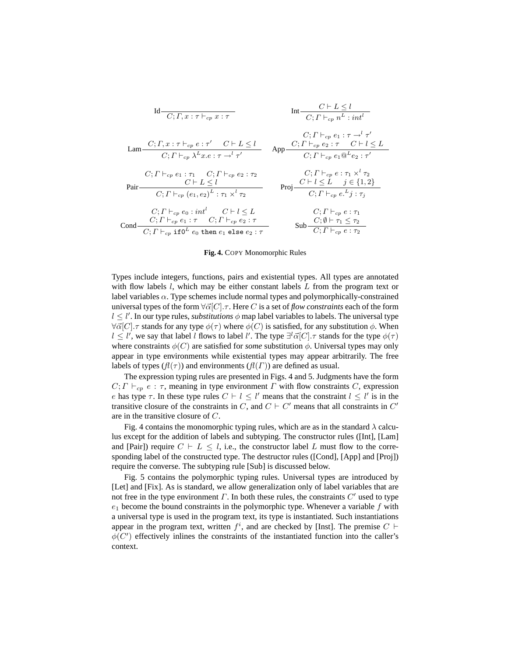| Id $\overline{C; \Gamma, x : \tau \vdash_{cp} x : \tau}$                                                                                                                                                                                                               | Int $\frac{C \vdash L \leq l}{C; \Gamma \vdash_{cp} n^L : int^l}$                                                                                                                                                                                                        |
|------------------------------------------------------------------------------------------------------------------------------------------------------------------------------------------------------------------------------------------------------------------------|--------------------------------------------------------------------------------------------------------------------------------------------------------------------------------------------------------------------------------------------------------------------------|
| Lam $\frac{C; \Gamma, x : \tau \vdash_{cp} e : \tau' \quad C \vdash L \leq l}{C; \Gamma \vdash_{cp} \lambda^L x.e: \tau \rightarrow^l \tau'}$                                                                                                                          | $\label{eq:1} \begin{array}{c} C; \varGamma \vdash_{cp} e_1 : \tau \rightarrow^{l} \tau'\\ \text{App-} \begin{array}{c} C; \varGamma \vdash_{cp} e_2 : \tau \quad \  \  C \vdash l \leq L \\ \hline C; \varGamma \vdash_{cp} e_1 @^Le_2 : \tau' \end{array} \end{array}$ |
| $\label{eq:1} \begin{array}{c} C; \varGamma \vdash_{cp} e_1 : \tau_1 \quad C; \varGamma \vdash_{cp} e_2 : \tau_2 \\ C \vdash L \leq l \\ \hline C; \varGamma \vdash_{cp} (e_1, e_2)^L : \tau_1 \times^l \tau_2 \end{array}$                                            | $\label{eq:2} \begin{array}{c} C; \varGamma \vdash_{cp} e : \tau_1 \times^l \tau_2 \\ \text{Proj } \frac{C \vdash l \leq L \quad \  j \in \{1,2\}}{C; \varGamma \vdash_{cp} e.^L j : \tau_j} \end{array}$                                                                |
| $\begin{array}{cc} C; \varGamma \vdash_{cp} e_0: int^l & C \vdash l \leq L \\ C; \varGamma \vdash_{cp} e_1: \tau & C; \varGamma \vdash_{cp} e_2: \tau \\ \hline C; \varGamma \vdash_{cp} \mathtt{if0}^L e_0 \mathtt{then} \ e_1 \mathtt{else} \ e_2: \tau \end{array}$ | $C; \Gamma \vdash_{cp} e : \tau_1$<br>Sub $\frac{C;\emptyset \vdash \tau_1 \leq \tau_2}{C; \Gamma \vdash_{cp} e : \tau_2}$                                                                                                                                               |

#### **Fig. 4.** COPY Monomorphic Rules

Types include integers, functions, pairs and existential types. All types are annotated with flow labels  $l$ , which may be either constant labels  $L$  from the program text or label variables  $\alpha$ . Type schemes include normal types and polymorphically-constrained universal types of the form  $\forall \vec{\alpha}[C].\tau$ . Here C is a set of *flow constraints* each of the form  $l \leq l'$ . In our type rules, *substitutions*  $\phi$  map label variables to labels. The universal type  $\forall \vec{\alpha}[C].\tau$  stands for any type  $\phi(\tau)$  where  $\phi(C)$  is satisfied, for any substitution  $\phi$ . When  $l \leq l'$ , we say that label l flows to label l'. The type  $\exists^l \vec{\alpha}[C]$ .  $\tau$  stands for the type  $\phi(\tau)$ where constraints  $\phi(C)$  are satisfied for *some* substitution  $\phi$ . Universal types may only appear in type environments while existential types may appear arbitrarily. The free labels of types ( $f_l(\tau)$ ) and environments ( $f_l(\Gamma)$ ) are defined as usual.

The expression typing rules are presented in Figs. 4 and 5. Judgments have the form  $C; \Gamma \vdash_{cp} e : \tau$ , meaning in type environment  $\Gamma$  with flow constraints C, expression e has type  $\tau$ . In these type rules  $C \vdash l \leq l'$  means that the constraint  $l \leq l'$  is in the transitive closure of the constraints in C, and  $C \vdash C'$  means that all constraints in  $C'$ are in the transitive closure of C.

Fig. 4 contains the monomorphic typing rules, which are as in the standard  $\lambda$  calculus except for the addition of labels and subtyping. The constructor rules ([Int], [Lam] and [Pair]) require  $C \vdash L \leq l$ , i.e., the constructor label L must flow to the corresponding label of the constructed type. The destructor rules ([Cond], [App] and [Proj]) require the converse. The subtyping rule [Sub] is discussed below.

Fig. 5 contains the polymorphic typing rules. Universal types are introduced by [Let] and [Fix]. As is standard, we allow generalization only of label variables that are not free in the type environment  $\Gamma$ . In both these rules, the constraints  $C'$  used to type  $e_1$  become the bound constraints in the polymorphic type. Whenever a variable f with a universal type is used in the program text, its type is instantiated. Such instantiations appear in the program text, written  $f^i$ , and are checked by [Inst]. The premise  $C \vdash$  $\phi(C')$  effectively inlines the constraints of the instantiated function into the caller's context.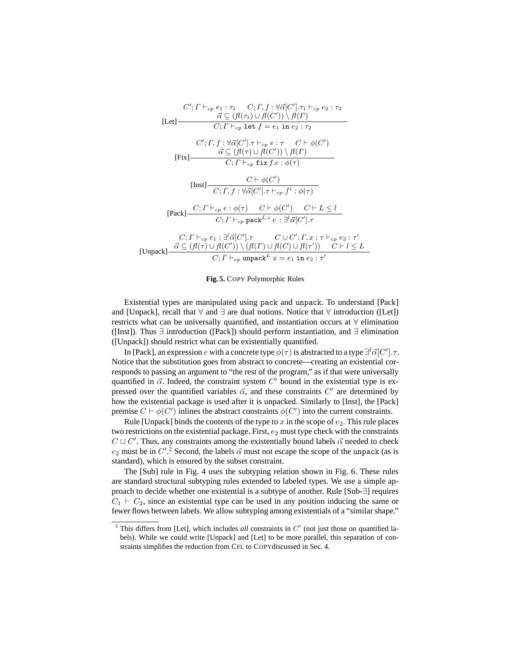| $C'; \Gamma \vdash_{cp} e_1 : \tau_1 \quad C; \Gamma, f : \forall \vec{\alpha} [C'], \tau_1 \vdash_{cp} e_2 : \tau_2$<br>$\vec{\alpha} \subseteq (\mathcal{H}(\tau_1) \cup \mathcal{H}(C')) \setminus \mathcal{H}(\Gamma)$                                                                        |
|---------------------------------------------------------------------------------------------------------------------------------------------------------------------------------------------------------------------------------------------------------------------------------------------------|
| [Let]<br>$C: \Gamma \vdash_{cn} \text{let } f = e_1 \text{ in } e_2 : \tau_2$                                                                                                                                                                                                                     |
| $C'; \Gamma, f : \forall \vec{\alpha} [C'], \tau \vdash_{cp} e : \tau \quad C \vdash \phi (C')$<br>$\vec{\alpha} \subseteq (\mathcal{H}(\tau) \cup \mathcal{H}(C')) \setminus \mathcal{H}(\Gamma)$<br>[Fix]<br>$C; \Gamma \vdash_{cp} \texttt{fix} f.e : \phi(\tau)$                              |
| [Inst] $\frac{C \vdash \phi(C')}{C; \Gamma, f : \forall \vec{\alpha} [C'], \tau \vdash_{cp} f^i : \phi(\tau)}$                                                                                                                                                                                    |
| [Pack] $\frac{C; \Gamma \vdash_{cp} e : \phi(\tau) \quad C \vdash \phi(C') \quad C \vdash L \leq l}{C; \Gamma \vdash_{cp} \text{pack}^{L,i} e : \exists^l \vec{\alpha} [C'], \tau}$                                                                                                               |
| $C; \Gamma \vdash_{cp} e_1 : \exists^l \vec{\alpha} [C'], \tau$ $C \cup C'; \Gamma, x : \tau \vdash_{cp} e_2 : \tau'$<br>$\vec{\alpha} \subseteq (\mathit{fl}(\tau) \cup \mathit{fl}(C')) \setminus (\mathit{fl}(T) \cup \mathit{fl}(C) \cup \mathit{fl}(\tau'))$ $C \vdash l \leq L$<br>[Unpack] |
| $C; \Gamma \vdash_{cp}$ unpack <sup>L</sup> $x = e_1$ in $e_2 : \tau'$                                                                                                                                                                                                                            |

**Fig. 5.** COPY Polymorphic Rules

Existential types are manipulated using pack and unpack. To understand [Pack] and [Unpack], recall that  $\forall$  and  $\exists$  are dual notions. Notice that  $\forall$  introduction ([Let]) restricts what can be universally quantified, and instantiation occurs at ∀ elimination ([Inst]). Thus ∃ introduction ([Pack]) should perform instantiation, and ∃ elimination ([Unpack]) should restrict what can be existentially quantified.

In [Pack], an expression  $e$  with a concrete type  $\phi(\tau)$  is abstracted to a type  $\exists^{l} \vec{\alpha} [C']$ .  $\tau$ . Notice that the substitution goes from abstract to concrete—creating an existential corresponds to passing an argument to "the rest of the program," as if that were universally quantified in  $\vec{\alpha}$ . Indeed, the constraint system C' bound in the existential type is expressed over the quantified variables  $\vec{\alpha}$ , and these constraints C' are determined by how the existential package is used after it is unpacked. Similarly to [Inst], the [Pack] premise  $C \vdash \phi(C')$  inlines the abstract constraints  $\phi(C')$  into the current constraints.

Rule [Unpack] binds the contents of the type to  $x$  in the scope of  $e_2$ . This rule places two restrictions on the existential package. First,  $e_2$  must type check with the constraints  $C \cup C'$ . Thus, any constraints among the existentially bound labels  $\vec{\alpha}$  needed to check  $e_2$  must be in C'.<sup>2</sup> Second, the labels  $\vec{\alpha}$  must not escape the scope of the unpack (as is standard), which is ensured by the subset constraint.

The [Sub] rule in Fig. 4 uses the subtyping relation shown in Fig. 6. These rules are standard structural subtyping rules extended to labeled types. We use a simple approach to decide whether one existential is a subtype of another. Rule [Sub-∃] requires  $C_1 \vdash C_2$ , since an existential type can be used in any position inducing the same or fewer flows between labels. We allow subtyping among existentials of a "similar shape."

<sup>&</sup>lt;sup>2</sup> This differs from [Let], which includes *all* constraints in  $C'$  (not just those on quantified labels). While we could write [Unpack] and [Let] to be more parallel, this separation of constraints simplifies the reduction from CFL to COPYdiscussed in Sec. 4.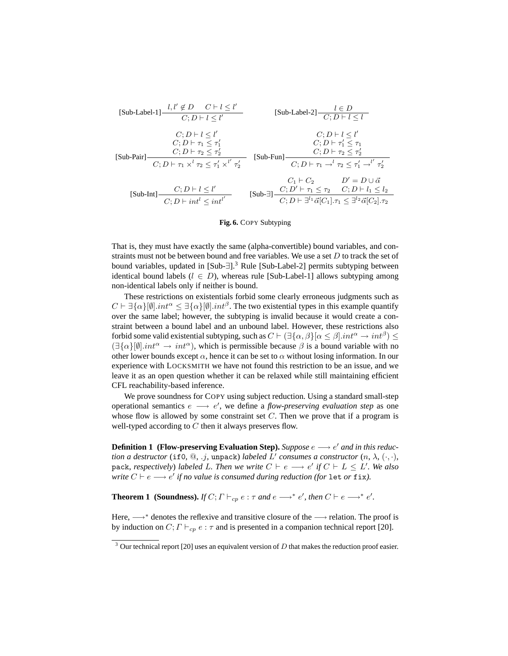$$
[\text{Sub-Label-1}] \frac{l, l' \notin D \quad C \vdash l \le l'}{C; D \vdash l \le l'} \qquad [\text{Sub-Label-2}] \frac{l \in D}{C; D \vdash l \le l}
$$
\n
$$
\frac{C; D \vdash l \le l'}{C; D \vdash \tau_1 \le \tau'_1} \qquad \frac{C; D \vdash l \le l'}{C; D \vdash \tau_2 \le \tau'_2} \qquad \frac{C; D \vdash l \le l'}{C; D \vdash \tau_1 \times l \tau_2 \le \tau'_1 \times l' \tau'_2} \qquad [\text{Sub-Fun}] \frac{C; D \vdash \tau_2 \le \tau'_2}{C; D \vdash \tau_1 \to l' \tau_2 \le \tau'_1 \to l' \tau'_2}
$$
\n
$$
[\text{Sub-Int}] \frac{C; D \vdash l \le l'}{C; D \vdash int^{l'} \le int^{l'}} \qquad [\text{Sub-3}] \frac{C; D' \vdash \tau_1 \le \tau_2 \quad C; D \vdash l_1 \le l_2}{C; D \vdash \exists^l \vec{\alpha}[C_1].\tau_1 \le \exists^l \vec{\alpha}[C_2].\tau_2}
$$

#### **Fig. 6.** COPY Subtyping

That is, they must have exactly the same (alpha-convertible) bound variables, and constraints must not be between bound and free variables. We use a set  $D$  to track the set of bound variables, updated in [Sub-∃].<sup>3</sup> Rule [Sub-Label-2] permits subtyping between identical bound labels ( $l \in D$ ), whereas rule [Sub-Label-1] allows subtyping among non-identical labels only if neither is bound.

These restrictions on existentials forbid some clearly erroneous judgments such as  $C \vdash \exists {\alpha} \{\emptyset].int^{\alpha} \leq \exists {\{\alpha}\}}[\emptyset].int^{\beta}$ . The two existential types in this example quantify over the same label; however, the subtyping is invalid because it would create a constraint between a bound label and an unbound label. However, these restrictions also forbid some valid existential subtyping, such as  $C \vdash (\exists {\alpha, \beta} | {\alpha \leq \beta}].int^{\alpha} \rightarrow int^{\beta}) \leq$  $(\exists {\alpha} | \emptyset|. int^{\alpha} \rightarrow int^{\alpha})$ , which is permissible because  $\beta$  is a bound variable with no other lower bounds except  $\alpha$ , hence it can be set to  $\alpha$  without losing information. In our experience with LOCKSMITH we have not found this restriction to be an issue, and we leave it as an open question whether it can be relaxed while still maintaining efficient CFL reachability-based inference.

We prove soundness for COPY using subject reduction. Using a standard small-step operational semantics  $e \longrightarrow e'$ , we define a *flow-preserving evaluation step* as one whose flow is allowed by some constraint set  $C$ . Then we prove that if a program is well-typed according to  $C$  then it always preserves flow.

**Definition 1** (Flow-preserving Evaluation Step). Suppose  $e \rightarrow e'$  and in this reduc*tion a destructor* (if 0,  $\omega$ , .*j*, unpack) *labeled*  $L'$  consumes a constructor  $(n, \lambda, (\cdot, \cdot),$ pack, *respectively*) labeled L. Then we write  $C \vdash e \longrightarrow e'$  if  $C \vdash L \leq L'$ . We also  $\mathbf{w}$ rite  $C \vdash e \longrightarrow e'$  if no value is consumed during reduction (for let or fix).

**Theorem 1** (Soundness). *If*  $C$ ;  $\Gamma \vdash_{cp} e : \tau$  *and*  $e \longrightarrow^* e'$ , *then*  $C \vdash e \longrightarrow^* e'$ .

Here,  $\longrightarrow^*$  denotes the reflexive and transitive closure of the  $\longrightarrow$  relation. The proof is by induction on  $C; \Gamma \vdash_{cp} e : \tau$  and is presented in a companion technical report [20].

 $3$  Our technical report [20] uses an equivalent version of D that makes the reduction proof easier.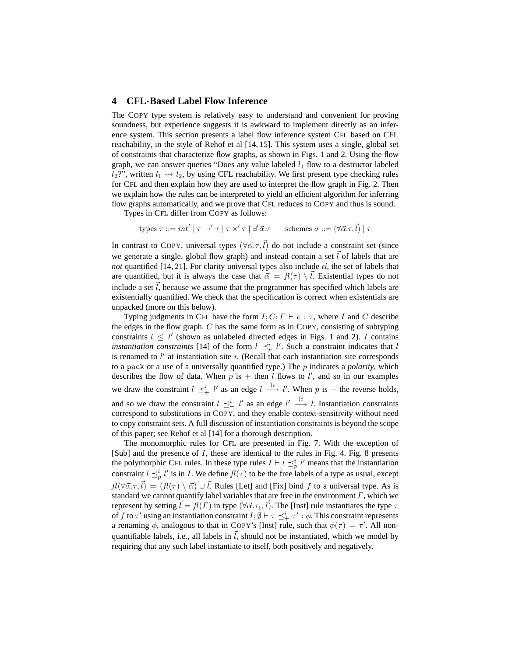### **4 CFL-Based Label Flow Inference**

The COPY type system is relatively easy to understand and convenient for proving soundness, but experience suggests it is awkward to implement directly as an inference system. This section presents a label flow inference system CFL based on CFL reachability, in the style of Rehof et al [14, 15]. This system uses a single, global set of constraints that characterize flow graphs, as shown in Figs. 1 and 2. Using the flow graph, we can answer queries "Does any value labeled  $l_1$  flow to a destructor labeled  $l_2$ ?", written  $l_1 \rightarrow l_2$ , by using CFL reachability. We first present type checking rules for CFL and then explain how they are used to interpret the flow graph in Fig. 2. Then we explain how the rules can be interpreted to yield an efficient algorithm for inferring flow graphs automatically, and we prove that CFL reduces to COPY and thus is sound.

Types in CFL differ from COPY as follows:

types 
$$
\tau ::= int^l | \tau \rightarrow^l \tau | \tau \times^l \tau | \exists^l \vec{\alpha} . \tau
$$
 schemes  $\sigma ::= (\forall \vec{\alpha} . \tau, \vec{l}) | \tau$ 

In contrast to COPY, universal types  $(\forall \vec{\alpha}.\tau,\vec{l})$  do not include a constraint set (since we generate a single, global flow graph) and instead contain a set  $\vec{l}$  of labels that are *not* quantified [14, 21]. For clarity universal types also include  $\vec{\alpha}$ , the set of labels that are quantified, but it is always the case that  $\vec{\alpha} = f(\tau) \setminus \vec{l}$ . Existential types do not include a set  $\vec{l}$ , because we assume that the programmer has specified which labels are existentially quantified. We check that the specification is correct when existentials are unpacked (more on this below).

Typing judgments in CFL have the form  $I; C; \Gamma \vdash e : \tau$ , where I and C describe the edges in the flow graph.  $C$  has the same form as in COPY, consisting of subtyping constraints  $l \leq l'$  (shown as unlabeled directed edges in Figs. 1 and 2). I contains *instantiation constraints* [14] of the form  $l \preceq_p^i l'$ . Such a constraint indicates that l is renamed to  $l'$  at instantiation site i. (Recall that each instantiation site corresponds to a pack or a use of a universally quantified type.) The p indicates a *polarity*, which describes the flow of data. When  $p$  is  $+$  then  $l$  flows to  $l'$ , and so in our examples we draw the constraint  $l \preceq^i_{+} l'$  as an edge  $l \stackrel{\rightarrow}{\longrightarrow} l'$ . When p is – the reverse holds, and so we draw the constraint  $l \preceq_{-l}^{i} l'$  as an edge  $l' \stackrel{(i}{\longrightarrow} l$ . Instantiation constraints correspond to substitutions in COPY, and they enable context-sensitivity without need to copy constraint sets. A full discussion of instantiation constraints is beyond the scope of this paper; see Rehof et al [14] for a thorough description.

The monomorphic rules for CFL are presented in Fig. 7. With the exception of [Sub] and the presence of  $I$ , these are identical to the rules in Fig. 4. Fig. 8 presents the polymorphic CFL rules. In these type rules  $I \vdash l \preceq_p^i l'$  means that the instantiation constraint  $l \leq_p^i l'$  is in I. We define  $f_l(\tau)$  to be the free labels of a type as usual, except  $f(x)\{t(\vec{\alpha},\tau,\vec{l})\} = (f(x)\setminus\vec{\alpha}) \cup \vec{l}$ . Rules [Let] and [Fix] bind f to a universal type. As is standard we cannot quantify label variables that are free in the environment  $\Gamma$ , which we represent by setting  $\vec{l} = fl(\Gamma)$  in type  $(\forall \vec{\alpha}.\tau_1, \vec{l})$ . The [Inst] rule instantiates the type  $\tau$ of f to  $\tau'$  using an instantiation constraint  $I; \emptyset \vdash \tau \preceq^i_+ \tau' : \phi$ . This constraint represents a renaming  $\phi$ , analogous to that in COPY's [Inst] rule, such that  $\phi(\tau) = \tau'$ . All nonquantifiable labels, i.e., all labels in  $l$ , should not be instantiated, which we model by requiring that any such label instantiate to itself, both positively and negatively.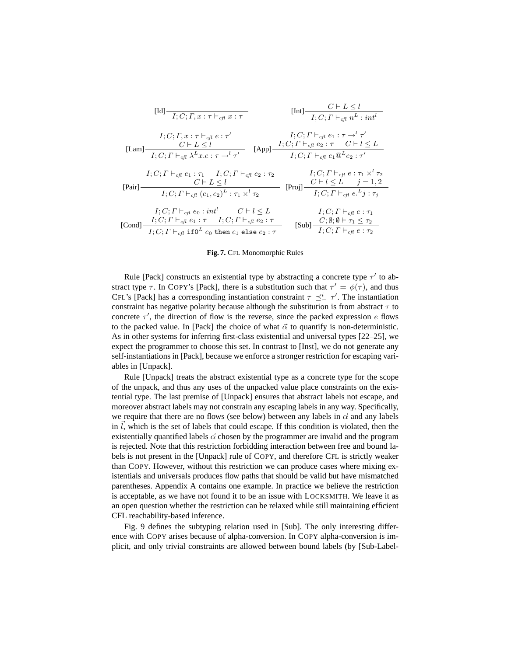|            | [Id] $\frac{I(G;T,x:\tau \vdash_{cfl} x:\tau)}{I(G;T,x:\tau \vdash_{cfl} x:\tau)}$                                                                                                                                                                                                                   | [Int] $\frac{C \vdash L \leq l}{I; C; \Gamma \vdash_{cft} n^L : int^l}$                                                                       |
|------------|------------------------------------------------------------------------------------------------------------------------------------------------------------------------------------------------------------------------------------------------------------------------------------------------------|-----------------------------------------------------------------------------------------------------------------------------------------------|
|            | $[Lam] \begin{tabular}{c c c} $I;C;I,x:\tau \vdash_{cfl} e:\tau'$ & $I;C;I \vdash_{cfl} e_1:\tau \rightarrow^{l} \tau'$ \\ \hline $C \vdash L \leq l$ & $I;C;I \vdash_{cfl} \lambda^L x.e:\tau \rightarrow^{l} \tau'$ & $I;C;I \vdash_{cfl} e_2:\tau$ & $C \vdash l \leq L$ \\ \hline \end{tabular}$ |                                                                                                                                               |
| $[Pair]$ — | $I; C; \Gamma \vdash_{cft} e_1 : \tau_1 \quad I; C; \Gamma \vdash_{cft} e_2 : \tau_2 \quad I; C; \Gamma \vdash_{cft} e : \tau_1 \times^l \tau_2$<br>$\begin{array}{c} C \vdash L \leq l \\ I; C; \varGamma \vdash_{cfl} (e_1, e_2)^L : \tau_1 \times^l \tau_2 \end{array}$                           | $[Proj] \frac{C \vdash l \leq L \quad j = 1, 2}{I; C; \Gamma \vdash_{cfl} e.^L j : \tau_j}$                                                   |
|            | $I; C; \Gamma \vdash_{c\mathcal{A}} e_0 : int^l \qquad C \vdash l \leq L$<br>[Cond] $I; C; \Gamma \vdash_{cfl} e_1 : \tau \quad I; C; \Gamma \vdash_{cfl} e_2 : \tau$<br>$I;C; \varGamma \vdash_{c\neq l} \mathtt{if0}^L\ e_0$ then $e_1$ else $e_2 : \tau$                                          | $I;C; \Gamma \vdash_{cfl} e:\tau_1$<br>[Sub] $\frac{C; \emptyset; \emptyset \vdash \tau_1 \leq \tau_2}{I; C; \Gamma \vdash_{cfl} e : \tau_2}$ |

#### **Fig. 7.** CFL Monomorphic Rules

Rule [Pack] constructs an existential type by abstracting a concrete type  $\tau'$  to abstract type  $\tau$ . In COPY's [Pack], there is a substitution such that  $\tau' = \phi(\tau)$ , and thus CFL's [Pack] has a corresponding instantiation constraint  $\tau \preceq^i_{-} \tau'$ . The instantiation constraint has negative polarity because although the substitution is from abstract  $\tau$  to concrete  $\tau'$ , the direction of flow is the reverse, since the packed expression  $e$  flows to the packed value. In [Pack] the choice of what  $\vec{\alpha}$  to quantify is non-deterministic. As in other systems for inferring first-class existential and universal types [22–25], we expect the programmer to choose this set. In contrast to [Inst], we do not generate any self-instantiations in [Pack], because we enforce a stronger restriction for escaping variables in [Unpack].

Rule [Unpack] treats the abstract existential type as a concrete type for the scope of the unpack, and thus any uses of the unpacked value place constraints on the existential type. The last premise of [Unpack] ensures that abstract labels not escape, and moreover abstract labels may not constrain any escaping labels in any way. Specifically, we require that there are no flows (see below) between any labels in  $\vec{\alpha}$  and any labels in  $l$ , which is the set of labels that could escape. If this condition is violated, then the existentially quantified labels  $\vec{\alpha}$  chosen by the programmer are invalid and the program is rejected. Note that this restriction forbidding interaction between free and bound labels is not present in the [Unpack] rule of COPY, and therefore CFL is strictly weaker than COPY. However, without this restriction we can produce cases where mixing existentials and universals produces flow paths that should be valid but have mismatched parentheses. Appendix A contains one example. In practice we believe the restriction is acceptable, as we have not found it to be an issue with LOCKSMITH. We leave it as an open question whether the restriction can be relaxed while still maintaining efficient CFL reachability-based inference.

Fig. 9 defines the subtyping relation used in [Sub]. The only interesting difference with COPY arises because of alpha-conversion. In COPY alpha-conversion is implicit, and only trivial constraints are allowed between bound labels (by [Sub-Label-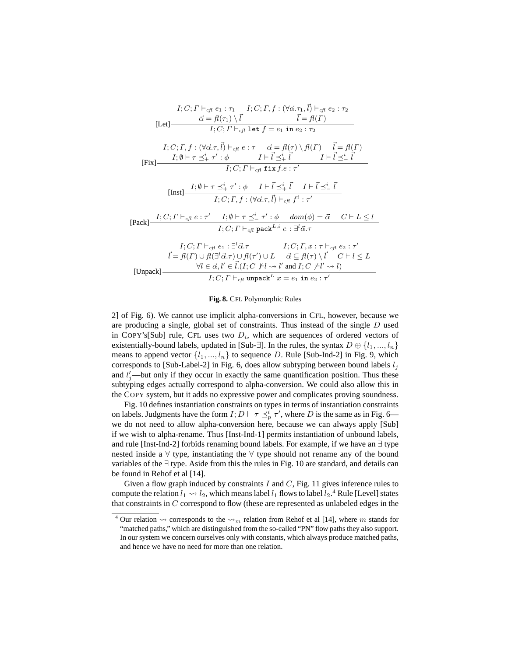[Let] I; C; Γ `cfl e<sup>1</sup> : τ<sup>1</sup> I; C; Γ, f : (∀~α.τ1, ~l) `cfl e<sup>2</sup> : τ<sup>2</sup> ~α = fl(τ1) \ ~l ~l = fl(Γ) I; C; Γ `cfl let f = e<sup>1</sup> in e<sup>2</sup> : τ<sup>2</sup> [Fix] I; C; Γ, f : (∀~α.τ,~l) `cfl e : τ ~α = fl(τ ) \ fl(Γ) ~l = fl(Γ) I; ∅ ` τ i <sup>+</sup> τ 0 : φ I ` ~l i + ~l I ` ~l i − ~l I; C; Γ `cfl fix f.e : τ 0 [Inst] I; ∅ ` τ i <sup>+</sup> τ 0 : φ I ` ~l i + ~l I ` ~l i − ~l I; C; Γ, f : (∀~α.τ,~l) `cfl f i : τ 0 [Pack] I; C; Γ `cfl e : τ 0 I; ∅ ` τ i <sup>−</sup> τ 0 : φ dom(φ) = ~α C ` L ≤ l I; C; Γ `cfl packL,i e : ∃ l ~α.τ [Unpack] I; C; Γ `cfl e<sup>1</sup> : ∃ l ~α.τ I; C; Γ, x : τ `cfl e<sup>2</sup> : τ 0 ~l = fl(Γ) ∪ fl(∃ l ~α.τ ) ∪ fl(τ 0 ) ∪ L ~α ⊆ fl(τ ) \ ~l C ` l ≤ L ∀l ∈ ~α, l<sup>0</sup> ∈ ~l.(I; C 6 `l l 0 and I; C 6 `l <sup>0</sup> l) I; C; Γ `cfl unpack<sup>L</sup> x = e<sup>1</sup> in e<sup>2</sup> : τ 0

#### **Fig. 8.** CFL Polymorphic Rules

2] of Fig. 6). We cannot use implicit alpha-conversions in CFL, however, because we are producing a single, global set of constraints. Thus instead of the single  $D$  used in COPY's[Sub] rule, CFL uses two  $D_i$ , which are sequences of ordered vectors of existentially-bound labels, updated in [Sub-∃]. In the rules, the syntax  $D \oplus \{l_1, ..., l_n\}$ means to append vector  $\{l_1, ..., l_n\}$  to sequence D. Rule [Sub-Ind-2] in Fig. 9, which corresponds to [Sub-Label-2] in Fig. 6, does allow subtyping between bound labels  $l_i$ and  $l'_j$ —but only if they occur in exactly the same quantification position. Thus these subtyping edges actually correspond to alpha-conversion. We could also allow this in the COPY system, but it adds no expressive power and complicates proving soundness.

Fig. 10 defines instantiation constraints on types in terms of instantiation constraints on labels. Judgments have the form  $I; D \vdash \tau \preceq^i_p \tau'$ , where D is the same as in Fig. 6 we do not need to allow alpha-conversion here, because we can always apply [Sub] if we wish to alpha-rename. Thus [Inst-Ind-1] permits instantiation of unbound labels, and rule [Inst-Ind-2] forbids renaming bound labels. For example, if we have an ∃ type nested inside a ∀ type, instantiating the ∀ type should not rename any of the bound variables of the ∃ type. Aside from this the rules in Fig. 10 are standard, and details can be found in Rehof et al [14].

Given a flow graph induced by constraints  $I$  and  $C$ , Fig. 11 gives inference rules to compute the relation  $l_1 \leadsto l_2$ , which means label  $l_1$  flows to label  $l_2$ .<sup>4</sup> Rule [Level] states that constraints in C correspond to flow (these are represented as unlabeled edges in the

<sup>&</sup>lt;sup>4</sup> Our relation  $\sim$  corresponds to the  $\sim$ <sub>m</sub> relation from Rehof et al [14], where m stands for "matched paths," which are distinguished from the so-called "PN" flow paths they also support. In our system we concern ourselves only with constants, which always produce matched paths, and hence we have no need for more than one relation.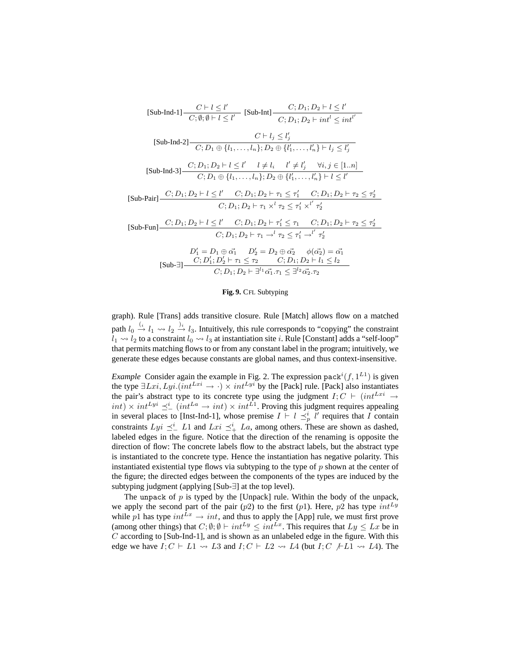$$
[Sub-Ind-1] \frac{C \vdash l \leq l'}{C; \emptyset; \emptyset \vdash l \leq l'} \quad [Sub-Int] \frac{C; D_1; D_2 \vdash l \leq l'}{C; D_1; D_2 \vdash int^{l'} \leq int^{l'}}
$$
\n
$$
[Sub-Ind-2] \frac{C \vdash l_j \leq l'_j}{C; D_1 \oplus \{l_1, \ldots, l_n\}; D_2 \oplus \{l'_1, \ldots, l'_n\} \vdash l_j \leq l'_j}
$$
\n
$$
[Sub-Ind-3] \frac{C; D_1; D_2 \vdash l \leq l' \quad l \neq l_i \quad l' \neq l'_j \quad \forall i, j \in [1..n]}{C; D_1 \oplus \{l_1, \ldots, l_n\}; D_2 \oplus \{l'_1, \ldots, l'_n\} \vdash l \leq l'}
$$
\n
$$
[Sub-Pair] \frac{C; D_1; D_2 \vdash l \leq l' \quad C; D_1; D_2 \vdash \tau_1 \leq \tau'_1 \quad C; D_1; D_2 \vdash \tau_2 \leq \tau'_2}{C; D_1; D_2 \vdash \tau_1 \times l' \tau_2} \leq \tau'_1 \times l' \tau'_2}
$$
\n
$$
[Sub-Fun] \frac{C; D_1; D_2 \vdash l \leq l' \quad C; D_1; D_2 \vdash \tau'_1 \leq \tau_1 \quad C; D_1; D_2 \vdash \tau_2 \leq \tau'_2}{C; D_1; D_2 \vdash \tau_1 \rightarrow l' \tau_2 \leq \tau'_1 \rightarrow l' \tau'_2}
$$
\n
$$
D'_1 = D_1 \oplus \alpha'_1 \quad D'_2 = D_2 \oplus \alpha'_2 \quad \phi(\alpha'_2) = \alpha'_1
$$
\n
$$
[Sub-1] \frac{C; D'_1; D'_2 \vdash \tau_1 \leq \tau_2 \quad C; D_1; D_2 \vdash l_1 \leq l_2}{C; D_1; D_2 \vdash \tau_1 \leq \tau'_2 \quad C; D_1; D_2 \vdash l_1 \leq l_2}
$$

**Fig. 9.** CFL Subtyping

graph). Rule [Trans] adds transitive closure. Rule [Match] allows flow on a matched path  $l_0 \stackrel{(i}{\to} l_1 \leadsto l_2 \stackrel{j_i}{\to} l_3$ . Intuitively, this rule corresponds to "copying" the constraint  $l_1 \rightsquigarrow l_2$  to a constraint  $l_0 \rightsquigarrow l_3$  at instantiation site i. Rule [Constant] adds a "self-loop" that permits matching flows to or from any constant label in the program; intuitively, we generate these edges because constants are global names, and thus context-insensitive.

*Example* Consider again the example in Fig. 2. The expression pack<sup> $i(f, 1^{L1})$  is given</sup> the type  $\exists Lxi, Lyi. (int<sup>Lxi</sup> \rightarrow \cdot) \times int<sup>Lyi</sup>$  by the [Pack] rule. [Pack] also instantiates the pair's abstract type to its concrete type using the judgment  $I; C \vdash (int^{Lxi} \rightarrow$  $int \times int^{Lyi} \preceq_{-}^{i} (int^{La} \to int) \times int^{L1}$ . Proving this judgment requires appealing in several places to [Inst-Ind-1], whose premise  $I \vdash l \preceq_p^i l'$  requires that I contain constraints  $Lyi \preceq^i_{-} L1$  and  $Lxi \preceq^i_{+} La$ , among others. These are shown as dashed, labeled edges in the figure. Notice that the direction of the renaming is opposite the direction of flow: The concrete labels flow to the abstract labels, but the abstract type is instantiated to the concrete type. Hence the instantiation has negative polarity. This instantiated existential type flows via subtyping to the type of  $p$  shown at the center of the figure; the directed edges between the components of the types are induced by the subtyping judgment (applying [Sub-∃] at the top level).

The unpack of  $p$  is typed by the [Unpack] rule. Within the body of the unpack, we apply the second part of the pair  $(p2)$  to the first  $(p1)$ . Here,  $p2$  has type  $int<sup>Ly</sup>$ while p1 has type  $int^{Lx} \rightarrow int$ , and thus to apply the [App] rule, we must first prove (among other things) that  $C$ ;  $\emptyset$ ;  $\emptyset \vdash int^{Ly} \leq int^{Lx}$ . This requires that  $Ly \leq Lx$  be in  $C$  according to [Sub-Ind-1], and is shown as an unlabeled edge in the figure. With this edge we have  $I; C \vdash L1 \leadsto L3$  and  $I; C \vdash L2 \leadsto L4$  (but  $I; C \not \vdash L1 \leadsto L4$ ). The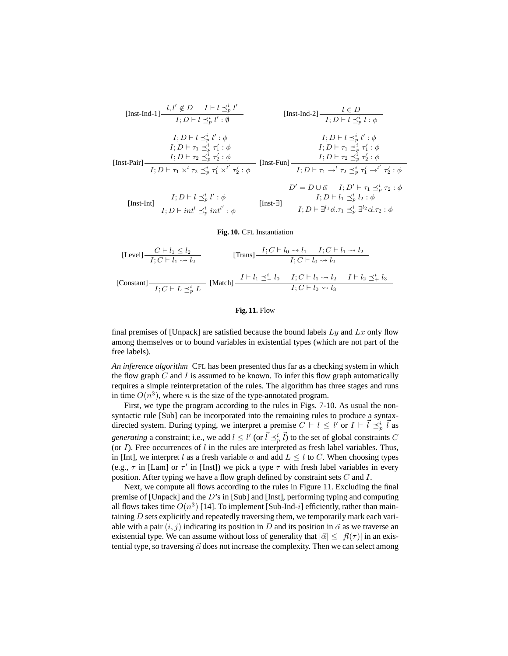$$
[\text{Inst-Ind-1}] \frac{l, l' \notin D \quad I \vdash l \leq_p^i l'}{I; D \vdash l \leq_p^i l' : \emptyset} \qquad [\text{Inst-Ind-2}] \frac{l \in D}{I; D \vdash l \leq_p^i l : \phi}
$$
\n
$$
I; D \vdash l \leq_p^i l' : \emptyset \qquad I; D \vdash \tau_1 \leq_p^i \tau_1' : \emptyset \qquad I; D \vdash \tau_1 \leq_p^i \tau_1' : \emptyset
$$
\n
$$
I; D \vdash \tau_2 \leq_p^i \tau_2' : \emptyset \qquad I; D \vdash \tau_1 \leq_p^i \tau_1' : \emptyset
$$
\n
$$
I; D \vdash \tau_1 \leq_p^i \tau_1' \leq_p' \tau_1' \times l' \tau_2' : \emptyset \qquad [\text{Inst-Fun}] \frac{I; D \vdash \tau_2 \leq_p^i \tau_1' : \emptyset}{I; D \vdash \tau_1 \rightarrow^l \tau_2 \leq_p^i \tau_1' \rightarrow l' \tau_2' : \emptyset}
$$
\n
$$
D' = D \cup \vec{\alpha} \quad I; D' \vdash \tau_1 \leq_p^i \tau_2 : \emptyset
$$
\n
$$
[{\text{Inst-Int}}] \frac{I; D \vdash l \leq_p^i l' : \emptyset}{I; D \vdash \tau_1 \leq_p^i l \geq_p' \tau_2' : \emptyset}
$$
\n
$$
[{\text{Inst-III}}] \frac{I; D \vdash l \leq_p^i l' : \emptyset}{I; D \vdash \tau_1 \leq_p^i l \geq_p' \tau_2' : \emptyset}
$$

 $I; D \vdash \exists^{l_1} \vec{\alpha}. \tau_1 \preceq_p^i \exists^{l_2} \vec{\alpha}. \tau_2 : \phi$ 

#### **Fig. 10.** CFL Instantiation

 $I; D \vdash int^{l} \preceq^{i}_{p} int^{l'} : \phi$ 

$$
\begin{array}{ll}\n\text{[Level]} & \frac{C \vdash l_1 \le l_2}{I; C \vdash l_1 \leadsto l_2} & \text{[Trans]} \frac{I; C \vdash l_0 \leadsto l_1 \quad I; C \vdash l_1 \leadsto l_2}{I; C \vdash l_0 \leadsto l_2} \\
\text{[Constant]} & \frac{I \vdash l_1 \preceq^i_{-} l_0 \quad I; C \vdash l_1 \leadsto l_2 \quad I \vdash l_2 \preceq^i_{+} l_3}{I; C \vdash l_0 \leadsto l_3}\n\end{array}
$$

#### **Fig. 11.** Flow

final premises of [Unpack] are satisfied because the bound labels  $Ly$  and  $Lx$  only flow among themselves or to bound variables in existential types (which are not part of the free labels).

*An inference algorithm* CFL has been presented thus far as a checking system in which the flow graph  $C$  and  $I$  is assumed to be known. To infer this flow graph automatically requires a simple reinterpretation of the rules. The algorithm has three stages and runs in time  $O(n^3)$ , where *n* is the size of the type-annotated program.

First, we type the program according to the rules in Figs. 7-10. As usual the nonsyntactic rule [Sub] can be incorporated into the remaining rules to produce a syntaxdirected system. During typing, we interpret a premise  $C \vdash l \leq l'$  or  $I \vdash \vec{l} \preceq^i_{p} \vec{l}$  as *generating* a constraint; i.e., we add  $l \leq l'$  (or  $\vec{l} \preceq^i_p \vec{l}$ ) to the set of global constraints C (or I). Free occurrences of l in the rules are interpreted as fresh label variables. Thus, in [Int], we interpret l as a fresh variable  $\alpha$  and add  $L \leq l$  to C. When choosing types (e.g.,  $\tau$  in [Lam] or  $\tau'$  in [Inst]) we pick a type  $\tau$  with fresh label variables in every position. After typing we have a flow graph defined by constraint sets C and I.

Next, we compute all flows according to the rules in Figure 11. Excluding the final premise of [Unpack] and the D's in [Sub] and [Inst], performing typing and computing all flows takes time  $O(n^3)$  [14]. To implement [Sub-Ind-i] efficiently, rather than maintaining  $D$  sets explicitly and repeatedly traversing them, we temporarily mark each variable with a pair  $(i, j)$  indicating its position in D and its position in  $\vec{\alpha}$  as we traverse an existential type. We can assume without loss of generality that  $|\vec{\alpha}| \leq |f(\tau)|$  in an existential type, so traversing  $\vec{\alpha}$  does not increase the complexity. Then we can select among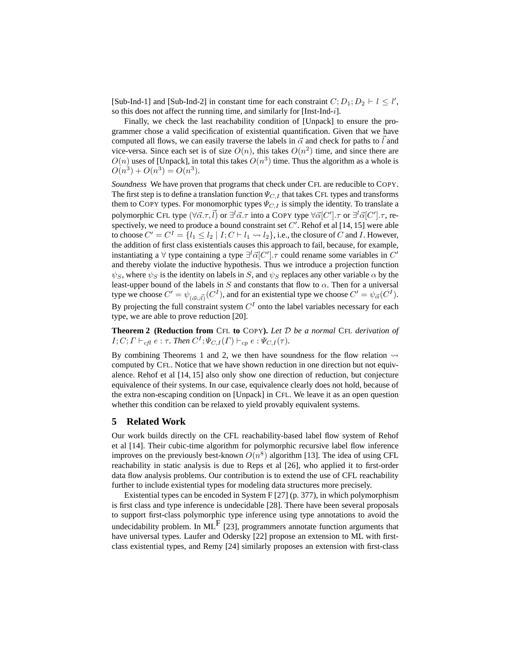[Sub-Ind-1] and [Sub-Ind-2] in constant time for each constraint  $C; D_1; D_2 \vdash l \leq l'$ , so this does not affect the running time, and similarly for [Inst-Ind-i].

Finally, we check the last reachability condition of [Unpack] to ensure the programmer chose a valid specification of existential quantification. Given that we have computed all flows, we can easily traverse the labels in  $\vec{\alpha}$  and check for paths to  $\vec{l}$  and vice-versa. Since each set is of size  $O(n)$ , this takes  $O(n^2)$  time, and since there are  $O(n)$  uses of [Unpack], in total this takes  $O(n^3)$  time. Thus the algorithm as a whole is  $O(n^3) + O(n^3) = O(n^3)$ .

*Soundness* We have proven that programs that check under CFL are reducible to COPY. The first step is to define a translation function  $\Psi_{C,I}$  that takes CFL types and transforms them to COPY types. For monomorphic types  $\Psi_{C,I}$  is simply the identity. To translate a polymorphic CFL type  $(\forall \vec{\alpha}.\tau,\vec{l})$  or  $\exists^l \vec{\alpha}.\tau$  into a COPY type  $\forall \vec{\alpha}[C']. \tau$  or  $\exists^l \vec{\alpha}[C']. \tau$ , respectively, we need to produce a bound constraint set  $C'$ . Rehof et al [14, 15] were able to choose  $C' = C^I = \{l_1 \leq l_2 \mid I; C \vdash l_1 \leadsto l_2\}$ , i.e., the closure of C and I. However, the addition of first class existentials causes this approach to fail, because, for example, instantiating a  $\forall$  type containing a type  $\exists^{l} \vec{\alpha} [C']$ . *τ* could rename some variables in  $C'$ and thereby violate the inductive hypothesis. Thus we introduce a projection function  $\psi_S$ , where  $\psi_S$  is the identity on labels in S, and  $\psi_S$  replaces any other variable  $\alpha$  by the least-upper bound of the labels in  $S$  and constants that flow to  $\alpha$ . Then for a universal type we choose  $C' = \psi_{(\vec{\alpha} \cup \vec{l})}(C^I)$ , and for an existential type we choose  $C' = \psi_{\vec{\alpha}}(C^I)$ . By projecting the full constraint system  $C<sup>I</sup>$  onto the label variables necessary for each type, we are able to prove reduction [20].

**Theorem 2 (Reduction from** CFL **to** COPY**).** *Let* D *be a normal* CFL *derivation of*  $I; C; \Gamma \vdash_{c\mathit{fl}} e : \tau$ . Then  $C^I; \Psi_{C,I}(\Gamma) \vdash_{cp} e : \Psi_{C,I}(\tau)$ .

By combining Theorems 1 and 2, we then have soundness for the flow relation  $\rightsquigarrow$ computed by CFL. Notice that we have shown reduction in one direction but not equivalence. Rehof et al [14, 15] also only show one direction of reduction, but conjecture equivalence of their systems. In our case, equivalence clearly does not hold, because of the extra non-escaping condition on [Unpack] in CFL. We leave it as an open question whether this condition can be relaxed to yield provably equivalent systems.

### **5 Related Work**

Our work builds directly on the CFL reachability-based label flow system of Rehof et al [14]. Their cubic-time algorithm for polymorphic recursive label flow inference improves on the previously best-known  $O(n^8)$  algorithm [13]. The idea of using CFL reachability in static analysis is due to Reps et al [26], who applied it to first-order data flow analysis problems. Our contribution is to extend the use of CFL reachability further to include existential types for modeling data structures more precisely.

Existential types can be encoded in System F [27] (p. 377), in which polymorphism is first class and type inference is undecidable [28]. There have been several proposals to support first-class polymorphic type inference using type annotations to avoid the undecidability problem. In  $\text{ML}^F$  [23], programmers annotate function arguments that have universal types. Laufer and Odersky [22] propose an extension to ML with firstclass existential types, and Remy [24] similarly proposes an extension with first-class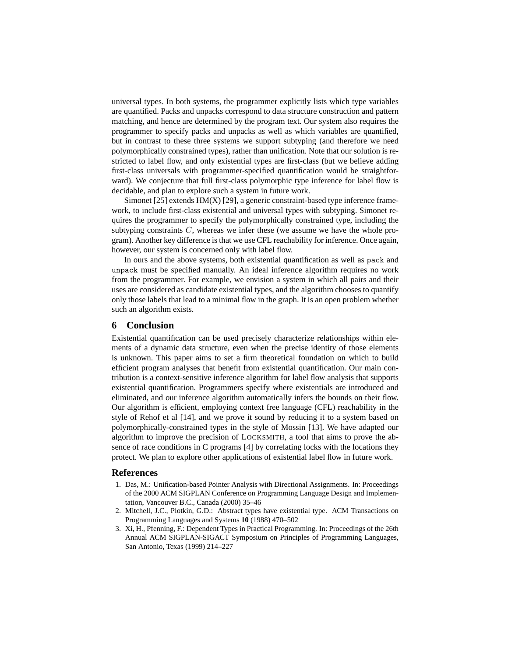universal types. In both systems, the programmer explicitly lists which type variables are quantified. Packs and unpacks correspond to data structure construction and pattern matching, and hence are determined by the program text. Our system also requires the programmer to specify packs and unpacks as well as which variables are quantified, but in contrast to these three systems we support subtyping (and therefore we need polymorphically constrained types), rather than unification. Note that our solution is restricted to label flow, and only existential types are first-class (but we believe adding first-class universals with programmer-specified quantification would be straightforward). We conjecture that full first-class polymorphic type inference for label flow is decidable, and plan to explore such a system in future work.

Simonet [25] extends HM(X) [29], a generic constraint-based type inference framework, to include first-class existential and universal types with subtyping. Simonet requires the programmer to specify the polymorphically constrained type, including the subtyping constraints  $C$ , whereas we infer these (we assume we have the whole program). Another key difference is that we use CFL reachability for inference. Once again, however, our system is concerned only with label flow.

In ours and the above systems, both existential quantification as well as pack and unpack must be specified manually. An ideal inference algorithm requires no work from the programmer. For example, we envision a system in which all pairs and their uses are considered as candidate existential types, and the algorithm chooses to quantify only those labels that lead to a minimal flow in the graph. It is an open problem whether such an algorithm exists.

### **6 Conclusion**

Existential quantification can be used precisely characterize relationships within elements of a dynamic data structure, even when the precise identity of those elements is unknown. This paper aims to set a firm theoretical foundation on which to build efficient program analyses that benefit from existential quantification. Our main contribution is a context-sensitive inference algorithm for label flow analysis that supports existential quantification. Programmers specify where existentials are introduced and eliminated, and our inference algorithm automatically infers the bounds on their flow. Our algorithm is efficient, employing context free language (CFL) reachability in the style of Rehof et al [14], and we prove it sound by reducing it to a system based on polymorphically-constrained types in the style of Mossin [13]. We have adapted our algorithm to improve the precision of LOCKSMITH, a tool that aims to prove the absence of race conditions in C programs [4] by correlating locks with the locations they protect. We plan to explore other applications of existential label flow in future work.

#### **References**

- 1. Das, M.: Unification-based Pointer Analysis with Directional Assignments. In: Proceedings of the 2000 ACM SIGPLAN Conference on Programming Language Design and Implementation, Vancouver B.C., Canada (2000) 35–46
- 2. Mitchell, J.C., Plotkin, G.D.: Abstract types have existential type. ACM Transactions on Programming Languages and Systems **10** (1988) 470–502
- 3. Xi, H., Pfenning, F.: Dependent Types in Practical Programming. In: Proceedings of the 26th Annual ACM SIGPLAN-SIGACT Symposium on Principles of Programming Languages, San Antonio, Texas (1999) 214–227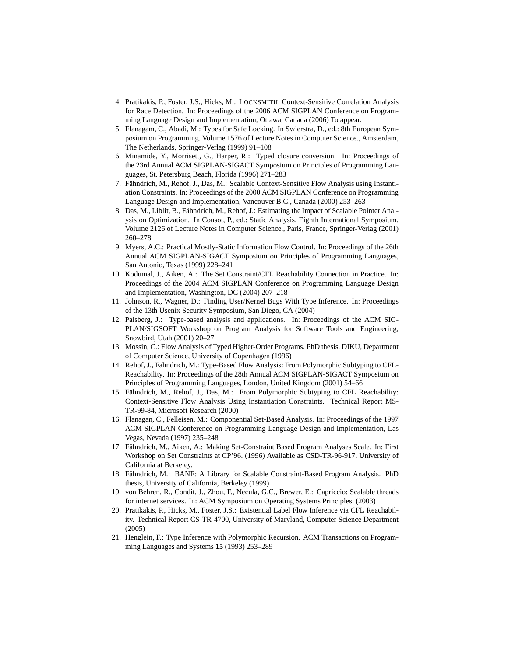- 4. Pratikakis, P., Foster, J.S., Hicks, M.: LOCKSMITH: Context-Sensitive Correlation Analysis for Race Detection. In: Proceedings of the 2006 ACM SIGPLAN Conference on Programming Language Design and Implementation, Ottawa, Canada (2006) To appear.
- 5. Flanagam, C., Abadi, M.: Types for Safe Locking. In Swierstra, D., ed.: 8th European Symposium on Programming. Volume 1576 of Lecture Notes in Computer Science., Amsterdam, The Netherlands, Springer-Verlag (1999) 91–108
- 6. Minamide, Y., Morrisett, G., Harper, R.: Typed closure conversion. In: Proceedings of the 23rd Annual ACM SIGPLAN-SIGACT Symposium on Principles of Programming Languages, St. Petersburg Beach, Florida (1996) 271–283
- 7. Fahndrich, M., Rehof, J., Das, M.: Scalable Context-Sensitive Flow Analysis using Instanti- ¨ ation Constraints. In: Proceedings of the 2000 ACM SIGPLAN Conference on Programming Language Design and Implementation, Vancouver B.C., Canada (2000) 253–263
- 8. Das, M., Liblit, B., Fähndrich, M., Rehof, J.: Estimating the Impact of Scalable Pointer Analysis on Optimization. In Cousot, P., ed.: Static Analysis, Eighth International Symposium. Volume 2126 of Lecture Notes in Computer Science., Paris, France, Springer-Verlag (2001) 260–278
- 9. Myers, A.C.: Practical Mostly-Static Information Flow Control. In: Proceedings of the 26th Annual ACM SIGPLAN-SIGACT Symposium on Principles of Programming Languages, San Antonio, Texas (1999) 228–241
- 10. Kodumal, J., Aiken, A.: The Set Constraint/CFL Reachability Connection in Practice. In: Proceedings of the 2004 ACM SIGPLAN Conference on Programming Language Design and Implementation, Washington, DC (2004) 207–218
- 11. Johnson, R., Wagner, D.: Finding User/Kernel Bugs With Type Inference. In: Proceedings of the 13th Usenix Security Symposium, San Diego, CA (2004)
- 12. Palsberg, J.: Type-based analysis and applications. In: Proceedings of the ACM SIG-PLAN/SIGSOFT Workshop on Program Analysis for Software Tools and Engineering, Snowbird, Utah (2001) 20–27
- 13. Mossin, C.: Flow Analysis of Typed Higher-Order Programs. PhD thesis, DIKU, Department of Computer Science, University of Copenhagen (1996)
- 14. Rehof, J., Fähndrich, M.: Type-Based Flow Analysis: From Polymorphic Subtyping to CFL-Reachability. In: Proceedings of the 28th Annual ACM SIGPLAN-SIGACT Symposium on Principles of Programming Languages, London, United Kingdom (2001) 54–66
- 15. Fähndrich, M., Rehof, J., Das, M.: From Polymorphic Subtyping to CFL Reachability: Context-Sensitive Flow Analysis Using Instantiation Constraints. Technical Report MS-TR-99-84, Microsoft Research (2000)
- 16. Flanagan, C., Felleisen, M.: Componential Set-Based Analysis. In: Proceedings of the 1997 ACM SIGPLAN Conference on Programming Language Design and Implementation, Las Vegas, Nevada (1997) 235–248
- 17. Fähndrich, M., Aiken, A.: Making Set-Constraint Based Program Analyses Scale. In: First Workshop on Set Constraints at CP'96. (1996) Available as CSD-TR-96-917, University of California at Berkeley.
- 18. Fähndrich, M.: BANE: A Library for Scalable Constraint-Based Program Analysis. PhD thesis, University of California, Berkeley (1999)
- 19. von Behren, R., Condit, J., Zhou, F., Necula, G.C., Brewer, E.: Capriccio: Scalable threads for internet services. In: ACM Symposium on Operating Systems Principles. (2003)
- 20. Pratikakis, P., Hicks, M., Foster, J.S.: Existential Label Flow Inference via CFL Reachability. Technical Report CS-TR-4700, University of Maryland, Computer Science Department (2005)
- 21. Henglein, F.: Type Inference with Polymorphic Recursion. ACM Transactions on Programming Languages and Systems **15** (1993) 253–289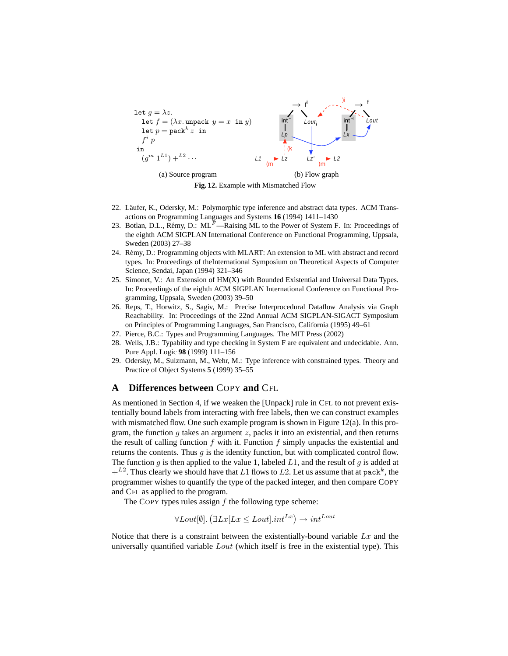



- 22. Läufer, K., Odersky, M.: Polymorphic type inference and abstract data types. ACM Transactions on Programming Languages and Systems **16** (1994) 1411–1430
- 23. Botlan, D.L., Rémy, D.:  $ML<sup>F</sup>$ —Raising ML to the Power of System F. In: Proceedings of the eighth ACM SIGPLAN International Conference on Functional Programming, Uppsala, Sweden (2003) 27–38
- 24. Remy, D.: Programming objects with MLART: An extension to ML with abstract and record ´ types. In: Proceedings of theInternational Symposium on Theoretical Aspects of Computer Science, Sendai, Japan (1994) 321–346
- 25. Simonet, V.: An Extension of HM(X) with Bounded Existential and Universal Data Types. In: Proceedings of the eighth ACM SIGPLAN International Conference on Functional Programming, Uppsala, Sweden (2003) 39–50
- 26. Reps, T., Horwitz, S., Sagiv, M.: Precise Interprocedural Dataflow Analysis via Graph Reachability. In: Proceedings of the 22nd Annual ACM SIGPLAN-SIGACT Symposium on Principles of Programming Languages, San Francisco, California (1995) 49–61
- 27. Pierce, B.C.: Types and Programming Languages. The MIT Press (2002)
- 28. Wells, J.B.: Typability and type checking in System F are equivalent and undecidable. Ann. Pure Appl. Logic **98** (1999) 111–156
- 29. Odersky, M., Sulzmann, M., Wehr, M.: Type inference with constrained types. Theory and Practice of Object Systems **5** (1999) 35–55

### **A Differences between** COPY **and** CFL

As mentioned in Section 4, if we weaken the [Unpack] rule in CFL to not prevent existentially bound labels from interacting with free labels, then we can construct examples with mismatched flow. One such example program is shown in Figure 12(a). In this program, the function  $g$  takes an argument  $z$ , packs it into an existential, and then returns the result of calling function  $f$  with it. Function  $f$  simply unpacks the existential and returns the contents. Thus  $q$  is the identity function, but with complicated control flow. The function g is then applied to the value 1, labeled  $L1$ , and the result of g is added at  $+^{L2}$ . Thus clearly we should have that L1 flows to L2. Let us assume that at pack<sup>k</sup>, the programmer wishes to quantify the type of the packed integer, and then compare COPY and CFL as applied to the program.

The COPY types rules assign  $f$  the following type scheme:

$$
\forall Lout[\emptyset]. \ (\exists Lx[Lx \le Lout].int^{Lx}) \rightarrow int^{Lout}
$$

Notice that there is a constraint between the existentially-bound variable  $Lx$  and the universally quantified variable  $Lout$  (which itself is free in the existential type). This